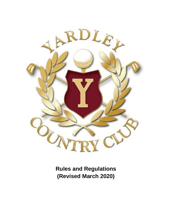

**Rules and Regulations (Revised March 2020)**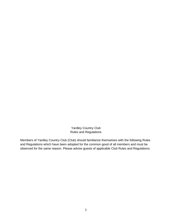Yardley Country Club Rules and Regulations

Members of Yardley Country Club (Club) should familiarize themselves with the following Rules and Regulations which have been adopted for the common good of all members and must be observed for the same reason. Please advise guests of applicable Club Rules and Regulations.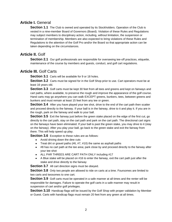## **Article I.** General

**Section 1.1** The Club is owned and operated by its Stockholders. Operation of the Club is vested in a nine-member Board of Governors (Board). Violation of these Rules and Regulations may subject members to disciplinary action, including, without limitation, the suspension or termination of membership. Members are also expected to bring violations of these Rules and Regulations to the attention of the Golf Pro and/or the Board so that appropriate action can be taken depending on the circumstances.

# **Article II.** Golf

**Section 2.1** Our golf professionals are responsible for overseeing tee-off practices, etiquette, maintenance of the course by members and guests, conduct, and golf cart regulations.

## **Article III.** Golf Carts

**Section 3.1** Carts will be available for 9 or 18 holes.

**Section 3.2** Carts must be signed for in the Golf Shop prior to use. Cart operators must be at least 16 years old.

**Section 3.3** Golf carts must be kept 30 feet from all tees and greens and kept on fairways and cart paths, where available, to preserve the rough and improve the appearance of the golf course. Hand carts may go anywhere you can walk EXCEPT greens, bunkers, tees, between greens and bunkers and must remain at least 15 feet from any tee or green.

**Section 3.4** After you have played your tee shot, drive to the end of the cart path then scatter and proceed directly to the fairway. If your ball is in the fairway, drive to it and play it. If you are in the rough, park on the fairway and walk to your ball.

**Section 3.5** Exit the fairway just before the green stake placed on the edge of the first cut, go directly to the cart path, stay on the cart path and park on the cart path. The directional cart signs on the fairways have been eliminated. If your ball is past the green stake, you may drive to it (stay on the fairway). After you play your ball, go back to the green stake and exit the fairway from there. This will help speed up play.

**Section 3.6** Exception to these rules are as follows:

- **●** Avoid driving down the dew cuts
- **●** Treat dirt or gravel paths (#6, #7, #10) the same as asphalt paths
- **●** #8 has no cart path at the tee area; park close by and proceed directly to the fairway after your tee shot
- **●** ALL PAR THREES ARE CART PATH ONLY including #17
- **●** A Blue stake will be placed on #16 to enter the fairway, exit the cart path just after the stake and drive directly to the fairway

**Section 3.7** All cart direction signs must be obeyed.

**Section 3.8** Only two people are allowed to ride on carts at a time. Foursomes are limited to two carts and twosomes to one cart.

**Section 3.9** Golf carts must be operated in a safe manner at all times and the renter will be responsible for damages. Failure to operate the golf carts in a safe manner may result in suspension of cart and/or golf privileges.

**Section 3.10** Handicap flags will be issued by the Golf Shop with proper validation by Member or Guest. Carts with handicap flags must remain 20 feet from any green at all times.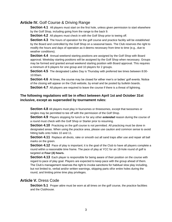### **Article IV.** Golf Course & Driving Range

**Section 4.1** All players must start on the first hole, unless given permission to start elsewhere by the Golf Shop, including going from the range to the back 9.

**Section 4.2** All players must check in with the Golf Shop prior to teeing off.

**Section 4.3** The hours of operation for the golf course and practice facility will be established by the Board and controlled by the Golf Shop on a seasonal basis. The Club reserves the right to modify the hours and days of operation as it deems necessary from time to time (e.g., due to weather conditions).

**Section 4.4** Annual weekend starting positions are assigned by the Golf Shop with Board approval. Weekday starting positions will be assigned by the Golf Shop when necessary. Groups may be formed and granted annual weekend starting position with Board approval. This requires a minimum of 6 players for one group and 10 players for 2 groups.

**Section 4.5** The designated Ladies Day is Thursday with preferred tee times between 8:00- 10:00am.

**Section 4.6** At times, the course may be closed for either men's or ladies' golf events. Notice of the closing will appear on the Club website, by email and be posted by bulletin boards.

**Section 4.7** All players are required to leave the course if there is a threat of lightning.

#### **The following regulations will be in effect between April 1st and October 31st inclusive, except as superseded by tournament rules:**

**Section 4.8** All players must play in foursomes or threesomes, except that twosomes or singles may be permitted to tee off with the permission of the Golf Shop.

**Section 4.9** Players stopping for lunch or for any other *extended* reason during the course of a round must check with the Golf Shop or Starter prior to resuming.

**Section 4.10** Practicing on the golf course is not permitted. All practicing must be done in designated areas. When using the practice area, please use caution and common sense to avoid hitting balls onto holes 10 and 11.

Section 4.11 Replace all divots, rake or smooth out all sand traps after use and repair all ball marks on the green.

**Section 4.12** Pace of play is important; it is the goal of the Club to have all players complete a round within a reasonable time frame. The pace of play at YCC for an 18-hole round of golf is targeted at **Four (4) hours.**

**Section 4.13** Each player is responsible for being aware of their position on the course with regard to pace of play goal. Players are expected to keep pace with the group ahead of them. The Club's management reserves the right to invoke sanctions for habitual slow play including, but not limited to, verbal and/or written warnings, skipping parts of/or entire holes during the round, and limiting prime time play privileges.

#### **Article V.** Dress Code

**Section 5.1** Proper attire must be worn at all times on the golf course, the practice facilities and the Clubhouse.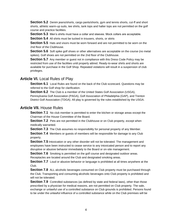**Section 5.2** Denim jeans/shorts, cargo pants/shorts, gym and tennis shorts, cut-ff and short shorts, athletic warm-up suits, tee shirts, tank tops and halter tops are not permitted on the golf course and practice facilities.

**Section 5.3** Men's shirts must have a collar and sleeves. Mock collars are acceptable.

**Section 5.4** All shirts must be tucked in trousers, shorts, or skirts

**Section 5.5** Hats and visors must be worn forward and are not permitted to be worn on the 2nd floor of the Clubhouse.

**Section 5.6** Soft spike golf shoes or other alternatives are acceptable on the course (no metal spikes). Golf shoes are not permitted on the 2nd floor of the Clubhouse.

**Section 5.7** Any member or quest not in compliance with this Dress Code Policy may be restricted from use of the facilities until properly attired. Ready-to-wear shirts and shorts are available for purchase in the Golf Shop. Repeated violations will result in a suspension of club privileges.

#### **Article VI.** Local Rules of Play

**Section 6.1** Local Rules are found on the back of the Club scorecard. Questions may be referred to the Golf shop for clarification.

**Section 6.2** The Club is a member of the United States Golf Association (USGA), Pennsylvania Golf Association (PAGA), Golf Association of Philadelphia (GAP), and Trenton District Golf Association (TDGA). All play is governed by the rules established by the USGA.

#### **Article VII.** House Rules

**Section 7.1** No club member is permitted to enter the kitchen or storage areas except the Chairman of the House Committee of the Board.

**Section 7.2** Pets are not permitted in the Clubhouse or on Club property, except when medically warranted.

**Section 7.3** The Club assumes no responsibility for personal property of any Member.

**Section 7.4** Members or guests of members will be responsible for damage to any Club property.

**Section 7.5** Intoxication or any other disorder will not be tolerated. The management and employees have been instructed to cease service to any intoxicated person and to report any disruptive or abusive behavior immediately to the Board or on-site management.

**Section 7.6** Smoking is permitted on the golf course and designated outdoor areas. Receptacles are located around the Club and designated smoking areas.

**Section 7.7** Loud or abusive behavior or language is prohibited at all times anywhere at the Club.

**Section 7.8** ALL alcoholic beverages consumed on Club property must be purchased through the Club. Transporting and consuming alcoholic beverages onto Club property is prohibited and will not be tolerated.

**Section 7.9** Controlled substances (as defined by state and federal laws), other than those prescribed by a physician for medical reasons, are not permitted on Club property. The sale, exchange or unlawful use of a controlled substance on Club grounds is prohibited. Persons found to be under the unlawful influence of a controlled substance while on the Club premises will be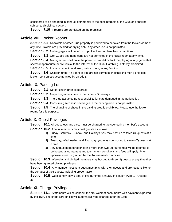considered to be engaged in conduct detrimental to the best interests of the Club and shall be subject to disciplinary action.

**Section 7.10** Firearms are prohibited on the premises.

## **Article VIII.** Locker Rooms

**Section 8.1** No towels or other Club property is permitted to be taken from the locker rooms at any time. Towels are provided for drying only. Any other use is not permitted.

**Section 8.2** No baggage shall be left on top of lockers, on benches or partitions.

**Section 8.3** Golf CLubs and hand carts are not permitted in the locker room at any time.

**Section 8.4** Management shall have the power to prohibit or limit the playing of any game that seems inappropriate or prejudicial to the interest of the Club. Gambling is strictly prohibited. **Section 8.5** Lockers cannot be altered, inside or out, in any fashion.

**Section 8.6** Children under 16 years of age are not permitted in either the men's or ladies locker room unless accompanied by an adult.

## **Article IX. Parking Lot**

**Section 9.1** No parking in prohibited areas.

**Section 9.2** No parking at any time in the Lane or Driveways.

**Section 9.3** The Club assumes no responsibility for cars damaged in the parking lot.

**Section 9.4** Consuming Alcoholic beverages in the parking area is not permitted.

**Section 9.5** The changing of shoes in the parking area is prohibited. Please use the locker rooms for this purpose.

### **Article X. Guest Privileges**

**Section 10.1** All guest fees and carts must be charged to the sponsoring member's account **Section 10.2** Annual members may host quests as follows:

- **1)** Friday, Saturday, Sunday, and Holidays, you may host up to three (3) guests at a time
- **2)** Tuesday, Wednesday, and Thursday, you may sponsor up to seven (7) guests at a time
- **3)** Any annual member sponsoring more than two (2) foursomes will be deemed to be hosting a tournament and tournament conditions and fees will apply. Prior approval must be granted by the Tournament committee.

**Section 10.3** Weekday and Limited members may host up to three (3) quests at any time they have been granted playing privileges.

**Section 10.4** Any member hosting a guest must play with their guests and are responsible for the conduct of their guests, including proper attire.

**Section 10.5** Guests may play a total of five (5) times annually in season (April 1 - October 31)

# **Article XI.** Charge Privileges

**Section 11.1** Statements will be sent out the first week of each month with payment expected by the 15th. The credit card on file will automatically be charged after the 15th.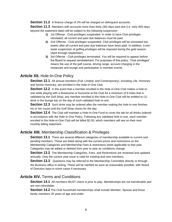**Section 11.2** A finance charge of 2% will be charged on delinguent accounts.

**Section 11.3** Members with accounts more than thirty (30) days past due (i.e. sixty (60) days beyond the statement date) will be subject to the following suspension:

- **1)** 1st Offense Club privileges suspended. In order to have Club privileges reinstated, all current and past due balances must be paid.
- **2)** 2nd Offense Club privileges suspended. Club privileges will be reinstated two weeks after all current and past due balances have been paid. In addition, a twoweek suspension of golfing privileges will be imposed during the gold season (April through September)
- **3)** 3rd Offense Club privileges terminated. You will be required to appear before the Board to request reinstatement. For purposes of this policy, "Club privileges" means the use of the golf course, driving range, account charging in the restaurant and lounge and participation in member events.

### **Article XII.** Hole-In-One Policy

**Section 12.1** All annual members (Full, Limited, and Contemporary), including Life, Honorary and Senior Honorary, are enrolled in the Hole-in-One Club

**Section 12.2** In the event that a member enrolled in the Hole-in-One Club makes a hole-inone while playing with a threesome or foursome at the Club for a minimum of 9 holes that is validated by the Golf Shop, any member enrolled in the Hole-in-One Club will be entitled to (1) drink in the lounge bar on the day of such validated hole-in-one.

**Section 12.3** Such drink may be ordered after the member making the hole-in-one finishes his or her round until the Golf Shop closes for the day.

**Section 12.4** The Club will maintain a Hole-in-One Fund to cover the tab for all drinks ordered in accordance with the Hole-in-One Policy. Following any validated hole-in-one, each member enrolled in the Hole-in-One Club will be billed \$2.00, which members will see on their next monthly billing statement.

# **Article XIII.** Membership Classification & Privileges

**Section 13.1** There are several different categories of membership available to current and pending members. These are listed along with the current prices and restrictions on the Membership Categories and Membership Fees & restrictions sheet applicable to that year. Categories may be added or deleted from year to year as conditions change.

**Section 13.2** The Membership Categories, Fees, and Restrictions are reviewed and updated annually. Only the current year issue is valid for existing and new members.

**Section 13.3** Questions may be referred to the Membership Committee directly or through the Business office in writing. These will be clarified as soon as reasonably possible, with Board of Directors input in some cases if necessary.

# **Article XIV.** Terms and Conditions

**Section 14.1** All members MUST check in prior to play. Memberships are not transferable and are non-refundable.

**Section 14.2** The Club household memberships shall include Member, Spouse and those family members 25 years of age and under.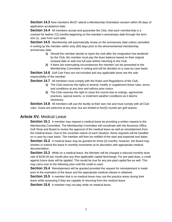**Section 14.3** New members MUST attend a Membership Orientation session within 90 days of application acceptance date.

**Section 14.4** All members accept and guarantee the Club, that each membership is a contract for twelve (12) months beginning on the member's anniversary date through the term one (1) year from such date.

**Section 14.5** Membership will automatically renew on the anniversary date unless cancelled in writing by the member within sixty (60) days prior to the aforementioned membership anniversary date.

- **1)** Should the member decide to rejoin the club after the resignation has tendered by the Club, the member must pay the dues balance based on their original renewal date or wait one full year before returning to the Club.
- **2)** If there are extenuating circumstances the member can be presented to the Membership Committee in writing and will be decided on a case by case basis.

**Section 14.6** Golf Cart Fees are not included and any applicable taxes are the sole responsibility of the member.

**Section 14.7** All members must comply with the Rules and Regulations of the Club.

- **1)** The Club reserves the rights to amend, modify or supplement these rules, terms and conditions at any time and without prior notice.
- **2)** The Club reserves the right to close the course due to outings, agronomist practices, special events, or inclement weather conditions as it deems necessary.

**Section 14.8** All members will use the facility at their own risk and must comply with all Club rules. Guest are welcome at any time, but are limited to five(5) rounds per golf season.

### **Article XV.** Medical Leave

**Section 15.1** A member may request a medical leave by providing a written request to the Membership Committee. The Membership Committee will coordinate with the Business Office, Golf Shop and Board to review the approval of the medical leave as well as reinstatement from the medical leave. Due to the uncertain nature of each situation, these requests will be handled on a case-by-case basis. The member will then be notified of the start and expected end dates.

**Section 15.2** A medical leave may be granted for three (3) months; however, the Board may shorten or extend the leave in monthly increments at its discretion with appropriate medical documentation.

**Section 15.3** While on a medical leave, the Member will be charged a reduced monthly dues rate of \$100.00 per month plus any then applicable capital fee/charge. For pre-paid dues, a credit against future dues will be applied. This would be true for any pre-paid capital fee as well. This may carry-over to the following year until the credit is used.

**Section 15.4** Reinstatement will be granted provided the request for reinstatement is made prior to the expiration of the leave and the appropriate medical release is obtained.

**Section 15.5** A member that is on medical leave may use the practice areas during their leave while assessing if they are capable of returning from the medical leave.

**Section 15.6** A member may not play while on medical leave.